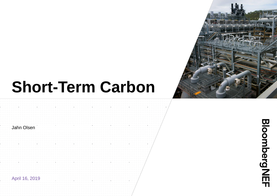# **Short-Term Carbon**



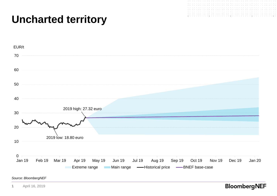# **Uncharted territory**





*Source: BloombergNEF*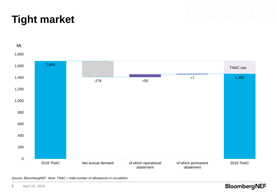



*Source: BloombergNEF. Note: TNAC = total number of allowances in circulation.*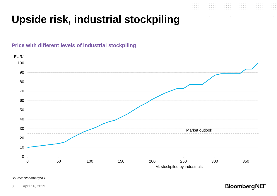# **Upside risk, industrial stockpiling**

## **Price with different levels of industrial stockpiling**



## *Source: BloombergNEF*

April 16, 2019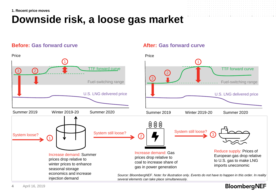## **1. Recent price moves**

# **Downside risk, a loose gas market**

## **Before:** Gas forward curve **After:** Gas forward curve

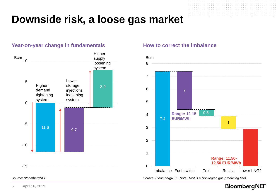# **Downside risk, a loose gas market**

## **Year-on-year change in fundamentals <b>How to correct the imbalance**



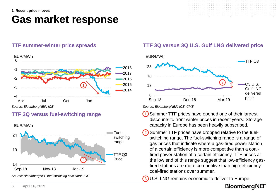## **1. Recent price moves**

## **Gas market response**







## **TTF 3Q versus fuel-switching range**

EUR/MWh



*Source: BloombergNEF, ICE, CME*

- Summer TTF prices have opened one of their largest discounts to front winter prices in recent years. Storage capacity in Europe has been heavily subscribed. 1
- Summer TTF prices have dropped relative to the fuelswitching range. The fuel-switching range is a range of gas prices that indicate where a gas-fired power station of a certain efficiency is more competitive than a coalfired power station of a certain efficiency. TTF prices at the low end of this range suggest that low-efficiency gasfired stations are more competitive than high-efficiency coal-fired stations over summer. 2

U.S. LNG remains economic to deliver to Europe. 3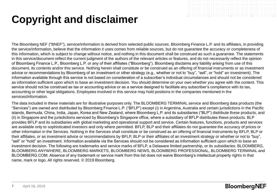# **Copyright and disclaimer**



The data included in these materials are for illustrative purposes only. The BLOOMBERG TERMINAL service and Bloomberg data products (the "Services") are owned and distributed by Bloomberg Finance L.P. ("BFLP") except (i) in Argentina, Australia and certain jurisdictions in the Pacific islands, Bermuda, China, India, Japan, Korea and New Zealand, where Bloomberg L.P. and its subsidiaries ("BLP") distribute these products, and (ii) in Singapore and the jurisdictions serviced by Bloomberg's Singapore office, where a subsidiary of BFLP distributes these products. BLP provides BFLP and its subsidiaries with global marketing and operational support and service. Certain features, functions, products and services are available only to sophisticated investors and only where permitted. BFLP, BLP and their affiliates do not guarantee the accuracy of prices or other information in the Services. Nothing in the Services shall constitute or be construed as an offering of financial instruments by BFLP, BLP or their affiliates, or as investment advice or recommendations by BFLP, BLP or their affiliates of an investment strategy or whether or not to "buy", "sell" or "hold" an investment. Information available via the Services should not be considered as information sufficient upon which to base an investment decision. The following are trademarks and service marks of BFLP, a Delaware limited partnership, or its subsidiaries: BLOOMBERG, BLOOMBERG ANYWHERE, BLOOMBERG MARKETS, BLOOMBERG NEWS, BLOOMBERG PROFESSIONAL, BLOOMBERG TERMINAL and BLOOMBERG.COM. Absence of any trademark or service mark from this list does not waive Bloomberg's intellectual property rights in that name, mark or logo. All rights reserved. © 2019 Bloomberg.